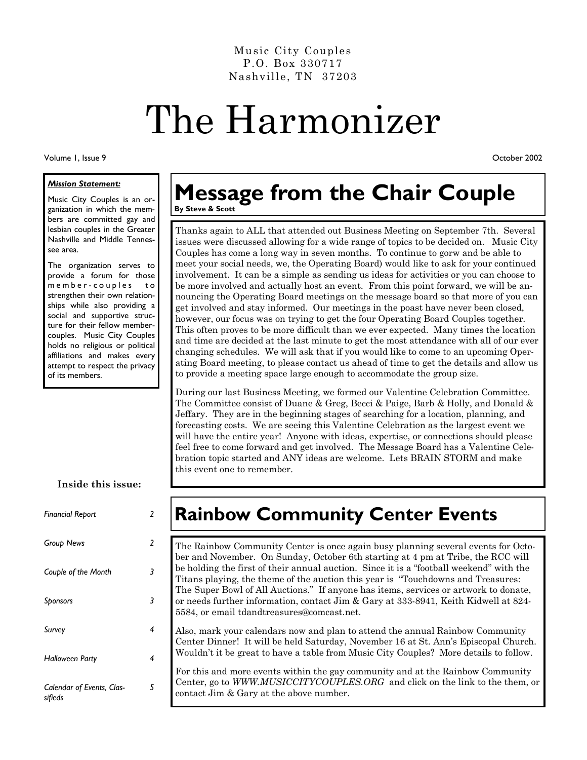Music City Couples P.O. Box 330717 Nashville, TN 37203

# The Harmonizer

Volume 1, Issue 9

#### *Mission Statement:*

Music City Couples is an organization in which the members are committed gay and lesbian couples in the Greater Nashville and Middle Tennessee area.

The organization serves to provide a forum for those m e m b e r - c o u p l e s to strengthen their own relationships while also providing a social and supportive structure for their fellow membercouples. Music City Couples holds no religious or political affiliations and makes every attempt to respect the privacy of its members.

#### **Inside this issue:**

| <b>Financial Report</b>              | 2 |
|--------------------------------------|---|
| <b>Group News</b>                    | 2 |
| Couple of the Month                  | 3 |
| Sponsors                             | 3 |
| Survey                               | 4 |
| <b>Halloween Party</b>               | 4 |
| Calendar of Events, Clas-<br>sifieds | 5 |

#### **Message from the Chair Couple By Steve & Scott**

Thanks again to ALL that attended out Business Meeting on September 7th. Several issues were discussed allowing for a wide range of topics to be decided on. Music City Couples has come a long way in seven months. To continue to gorw and be able to meet your social needs, we, the Operating Board) would like to ask for your continued involvement. It can be a simple as sending us ideas for activities or you can choose to be more involved and actually host an event. From this point forward, we will be announcing the Operating Board meetings on the message board so that more of you can get involved and stay informed. Our meetings in the poast have never been closed, however, our focus was on trying to get the four Operating Board Couples together. This often proves to be more difficult than we ever expected. Many times the location and time are decided at the last minute to get the most attendance with all of our ever changing schedules. We will ask that if you would like to come to an upcoming Operating Board meeting, to please contact us ahead of time to get the details and allow us to provide a meeting space large enough to accommodate the group size.

During our last Business Meeting, we formed our Valentine Celebration Committee. The Committee consist of Duane & Greg, Becci & Paige, Barb & Holly, and Donald & Jeffary. They are in the beginning stages of searching for a location, planning, and forecasting costs. We are seeing this Valentine Celebration as the largest event we will have the entire year! Anyone with ideas, expertise, or connections should please feel free to come forward and get involved. The Message Board has a Valentine Celebration topic started and ANY ideas are welcome. Lets BRAIN STORM and make this event one to remember.

# **Rainbow Community Center Events**

The Rainbow Community Center is once again busy planning several events for October and November. On Sunday, October 6th starting at 4 pm at Tribe, the RCC will be holding the first of their annual auction. Since it is a "football weekend" with the Titans playing, the theme of the auction this year is "Touchdowns and Treasures: The Super Bowl of All Auctions." If anyone has items, services or artwork to donate, or needs further information, contact Jim & Gary at 333-8941, Keith Kidwell at 824- 5584, or email tdandtreasures@comcast.net.

Also, mark your calendars now and plan to attend the annual Rainbow Community Center Dinner! It will be held Saturday, November 16 at St. Ann's Episcopal Church. Wouldn't it be great to have a table from Music City Couples? More details to follow.

For this and more events within the gay community and at the Rainbow Community Center, go to *WWW.MUSICCITYCOUPLES.ORG* and click on the link to the them, or contact Jim & Gary at the above number.

October 2002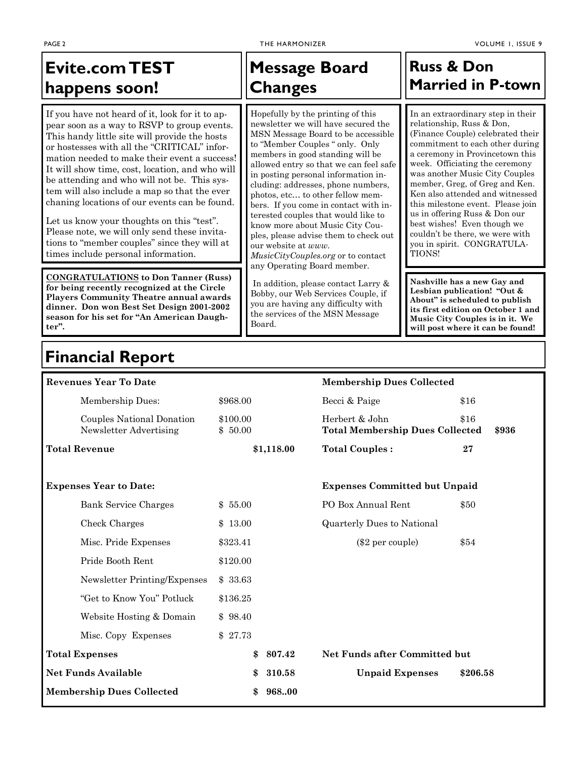# **Evite.com TEST happens soon!**

If you have not heard of it, look for it to appear soon as a way to RSVP to group events. This handy little site will provide the hosts or hostesses with all the "CRITICAL" information needed to make their event a success! It will show time, cost, location, and who will be attending and who will not be. This system will also include a map so that the ever chaning locations of our events can be found.

Let us know your thoughts on this "test". Please note, we will only send these invitations to "member couples" since they will at times include personal information.

**CONGRATULATIONS to Don Tanner (Russ) for being recently recognized at the Circle Players Community Theatre annual awards dinner. Don won Best Set Design 2001-2002 season for his set for "An American Daughter".** 

## **Message Board Changes**

Hopefully by the printing of this newsletter we will have secured the MSN Message Board to be accessible to "Member Couples " only. Only members in good standing will be allowed entry so that we can feel safe in posting personal information including: addresses, phone numbers, photos, etc… to other fellow members. If you come in contact with interested couples that would like to know more about Music City Couples, please advise them to check out our website at *www. MusicCityCouples.org* or to contact any Operating Board member.

 In addition, please contact Larry & Bobby, our Web Services Couple, if you are having any difficulty with the services of the MSN Message Board.

#### **Russ & Don Married in P-town**

In an extraordinary step in their relationship, Russ & Don, (Finance Couple) celebrated their commitment to each other during a ceremony in Provincetown this week. Officiating the ceremony was another Music City Couples member, Greg, of Greg and Ken. Ken also attended and witnessed this milestone event. Please join us in offering Russ & Don our best wishes! Even though we couldn't be there, we were with you in spirit. CONGRATULA-TIONS!

**Nashville has a new Gay and Lesbian publication! "Out & About" is scheduled to publish its first edition on October 1 and Music City Couples is in it. We will post where it can be found!** 

### **Financial Report**

| <b>Revenues Year To Date</b>                        |                     | <b>Membership Dues Collected</b>                         |               |
|-----------------------------------------------------|---------------------|----------------------------------------------------------|---------------|
| Membership Dues:                                    | \$968.00            | Becci & Paige                                            | \$16          |
| Couples National Donation<br>Newsletter Advertising | \$100.00<br>\$50.00 | Herbert & John<br><b>Total Membership Dues Collected</b> | \$16<br>\$936 |
| <b>Total Revenue</b>                                | \$1,118.00          | <b>Total Couples:</b>                                    | 27            |
| <b>Expenses Year to Date:</b>                       |                     | <b>Expenses Committed but Unpaid</b>                     |               |
| <b>Bank Service Charges</b>                         | \$55.00             | PO Box Annual Rent                                       | \$50          |
| Check Charges                                       | \$13.00             | <b>Quarterly Dues to National</b>                        |               |
| Misc. Pride Expenses                                | \$323.41            | (\$2 per couple)                                         | \$54          |
| Pride Booth Rent                                    | \$120.00            |                                                          |               |
| Newsletter Printing/Expenses                        | \$33.63             |                                                          |               |
| "Get to Know You" Potluck                           | \$136.25            |                                                          |               |
| Website Hosting & Domain                            | \$98.40             |                                                          |               |
| Misc. Copy Expenses                                 | \$27.73             |                                                          |               |
| <b>Total Expenses</b>                               | \$<br>807.42        | <b>Net Funds after Committed but</b>                     |               |
| <b>Net Funds Available</b>                          | 310.58<br>\$        | <b>Unpaid Expenses</b>                                   | \$206.58      |
| <b>Membership Dues Collected</b>                    | 96800<br>\$         |                                                          |               |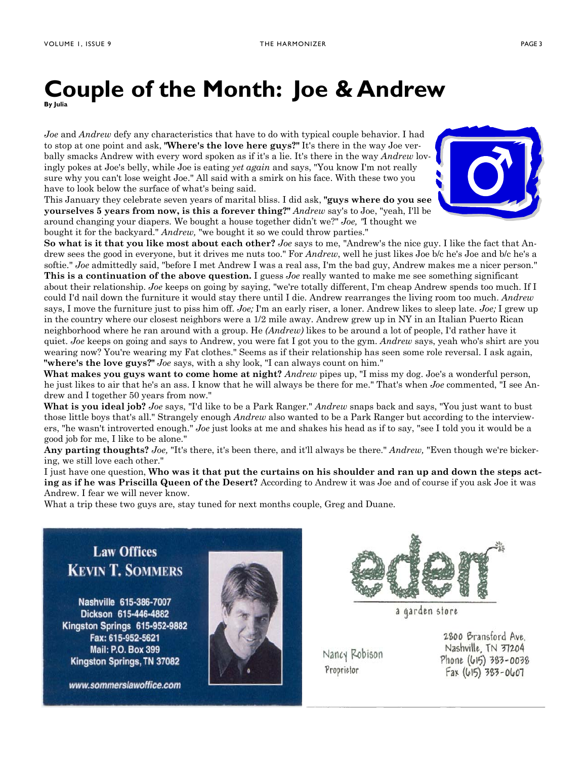#### **Couple of the Month: Joe & Andrew By Julia**

*Joe* and *Andrew* defy any characteristics that have to do with typical couple behavior. I had to stop at one point and ask, **"Where's the love here guys?"** It's there in the way Joe verbally smacks Andrew with every word spoken as if it's a lie. It's there in the way *Andrew* lovingly pokes at Joe's belly, while Joe is eating *yet again* and says, "You know I'm not really sure why you can't lose weight Joe." All said with a smirk on his face. With these two you have to look below the surface of what's being said.

This January they celebrate seven years of marital bliss. I did ask, **"guys where do you see yourselves 5 years from now, is this a forever thing?"** *Andrew* say's to Joe, "yeah, I'll be around changing your diapers. We bought a house together didn't we?" *Joe, "*I thought we bought it for the backyard." *Andrew,* "we bought it so we could throw parties."



**So what is it that you like most about each other?** *Joe* says to me, "Andrew's the nice guy. I like the fact that Andrew sees the good in everyone, but it drives me nuts too." For *Andrew*, well he just likes Joe b/c he's Joe and b/c he's a softie." *Joe* admittedly said, "before I met Andrew I was a real ass, I'm the bad guy, Andrew makes me a nicer person." **This is a continuation of the above question.** I guess *Joe* really wanted to make me see something significant about their relationship. *Joe* keeps on going by saying, "we're totally different, I'm cheap Andrew spends too much. If I could I'd nail down the furniture it would stay there until I die. Andrew rearranges the living room too much. *Andrew*  says, I move the furniture just to piss him off. *Joe;* I'm an early riser, a loner. Andrew likes to sleep late. *Joe;* I grew up in the country where our closest neighbors were a 1/2 mile away. Andrew grew up in NY in an Italian Puerto Rican neighborhood where he ran around with a group. He *(Andrew)* likes to be around a lot of people, I'd rather have it quiet. *Joe* keeps on going and says to Andrew, you were fat I got you to the gym. *Andrew* says, yeah who's shirt are you wearing now? You're wearing my Fat clothes." Seems as if their relationship has seen some role reversal. I ask again, **"where's the love guys?"** *Joe* says, with a shy look, "I can always count on him."

**What makes you guys want to come home at night?** *Andrew* pipes up, "I miss my dog. Joe's a wonderful person, he just likes to air that he's an ass. I know that he will always be there for me." That's when *Joe* commented, "I see Andrew and I together 50 years from now."

**What is you ideal job?** *Joe* says, "I'd like to be a Park Ranger." *Andrew* snaps back and says, "You just want to bust those little boys that's all." Strangely enough *Andrew* also wanted to be a Park Ranger but according to the interviewers, "he wasn't introverted enough." *Joe* just looks at me and shakes his head as if to say, "see I told you it would be a good job for me, I like to be alone."

**Any parting thoughts?** *Joe,* "It's there, it's been there, and it'll always be there." *Andrew,* "Even though we're bickering, we still love each other."

I just have one question, **Who was it that put the curtains on his shoulder and ran up and down the steps acting as if he was Priscilla Queen of the Desert?** According to Andrew it was Joe and of course if you ask Joe it was Andrew. I fear we will never know.

What a trip these two guys are, stay tuned for next months couple, Greg and Duane.

**Law Offices KEVIN T. SOMMERS** 

Nashville 615-386-7007 Dickson 615-446-4882 Kingston Springs 615-952-9882 Fax: 615-952-5621 Mail: P.O. Box 399 Kingston Springs, TN 37082

www.sommerslawoffice.com





a garden store

Nancy Robison Proprietor

2800 Bransford Ave. Nashville, TN 37204 Phone (615) 383-0038  $Fax (615) 383 - 0607$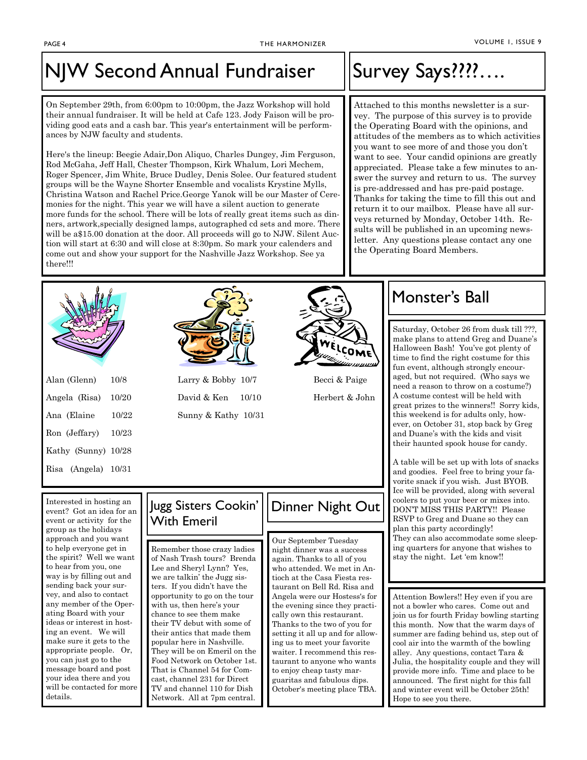# NJW Second Annual Fundraiser ||Survey Says????....

On September 29th, from 6:00pm to 10:00pm, the Jazz Workshop will hold their annual fundraiser. It will be held at Cafe 123. Jody Faison will be providing good eats and a cash bar. This year's entertainment will be performances by NJW faculty and students.

Here's the lineup: Beegie Adair,Don Aliquo, Charles Dungey, Jim Ferguson, Rod McGaha, Jeff Hall, Chester Thompson, Kirk Whalum, Lori Mechem, Roger Spencer, Jim White, Bruce Dudley, Denis Solee. Our featured student groups will be the Wayne Shorter Ensemble and vocalists Krystine Mylls, Christina Watson and Rachel Price.George Yanok will be our Master of Ceremonies for the night. This year we will have a silent auction to generate more funds for the school. There will be lots of really great items such as dinners, artwork,specially designed lamps, autographed cd sets and more. There will be a\$15.00 donation at the door. All proceeds will go to NJW. Silent Auction will start at 6:30 and will close at 8:30pm. So mark your calenders and come out and show your support for the Nashville Jazz Workshop. See ya there!!!

Attached to this months newsletter is a survey. The purpose of this survey is to provide the Operating Board with the opinions, and attitudes of the members as to which activities you want to see more of and those you don't want to see. Your candid opinions are greatly appreciated. Please take a few minutes to answer the survey and return to us. The survey is pre-addressed and has pre-paid postage. Thanks for taking the time to fill this out and return it to our mailbox. Please have all surveys returned by Monday, October 14th. Results will be published in an upcoming newsletter. Any questions please contact any one the Operating Board Members.



| Alan (Glenn)        | 10/8  |
|---------------------|-------|
| Angela (Risa)       | 10/20 |
| Ana (Elaine         | 10/22 |
| Ron (Jeffary)       | 10/23 |
| Kathy (Sunny) 10/28 |       |
| Risa (Angela) 10/31 |       |
|                     |       |



Larry & Bobby 10/7 Becci & Paige David & Ken 10/10 Herbert & John Sunny & Kathy 10/31



### Monster's Ball

Saturday, October 26 from dusk till ???, make plans to attend Greg and Duane's Halloween Bash! You've got plenty of time to find the right costume for this fun event, although strongly encouraged, but not required. (Who says we need a reason to throw on a costume?) A costume contest will be held with great prizes to the winners!! Sorry kids, this weekend is for adults only, however, on October 31, stop back by Greg and Duane's with the kids and visit their haunted spook house for candy.

A table will be set up with lots of snacks and goodies. Feel free to bring your favorite snack if you wish. Just BYOB. Ice will be provided, along with several coolers to put your beer or mixes into. DON'T MISS THIS PARTY!! Please RSVP to Greg and Duane so they can plan this party accordingly! They can also accommodate some sleeping quarters for anyone that wishes to stay the night. Let 'em know!!

Attention Bowlers!! Hey even if you are not a bowler who cares. Come out and join us for fourth Friday bowling starting this month. Now that the warm days of summer are fading behind us, step out of cool air into the warmth of the bowling alley. Any questions, contact Tara & Julia, the hospitality couple and they will provide more info. Time and place to be announced. The first night for this fall and winter event will be October 25th! Hope to see you there.

Interested in hosting an event? Got an idea for an event or activity for the group as the holidays approach and you want to help everyone get in the spirit? Well we want to hear from you, one way is by filling out and sending back your survey, and also to contact any member of the Operating Board with your ideas or interest in hosting an event. We will make sure it gets to the appropriate people. Or, you can just go to the message board and post your idea there and you will be contacted for more details.

#### Jugg Sisters Cookin' With Emeril

Remember those crazy ladies of Nash Trash tours? Brenda Lee and Sheryl Lynn? Yes, we are talkin' the Jugg sisters. If you didn't have the opportunity to go on the tour with us, then here's your chance to see them make their TV debut with some of their antics that made them popular here in Nashville. They will be on Emeril on the Food Network on October 1st. That is Channel 54 for Comcast, channel 231 for Direct TV and channel 110 for Dish Network. All at 7pm central.

# Dinner Night Out

Our September Tuesday night dinner was a success again. Thanks to all of you who attended. We met in Antioch at the Casa Fiesta restaurant on Bell Rd. Risa and Angela were our Hostess's for the evening since they practically own this restaurant. Thanks to the two of you for setting it all up and for allowing us to meet your favorite waiter. I recommend this restaurant to anyone who wants to enjoy cheap tasty marguaritas and fabulous dips. October's meeting place TBA.